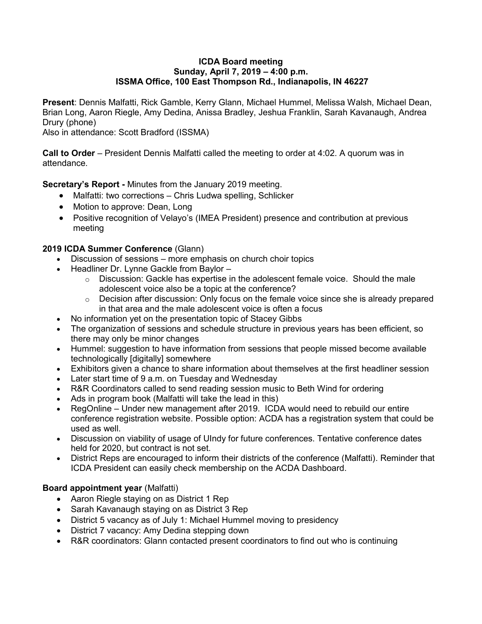#### **ICDA Board meeting Sunday, April 7, 2019 – 4:00 p.m. ISSMA Office, 100 East Thompson Rd., Indianapolis, IN 46227**

**Present**: Dennis Malfatti, Rick Gamble, Kerry Glann, Michael Hummel, Melissa Walsh, Michael Dean, Brian Long, Aaron Riegle, Amy Dedina, Anissa Bradley, Jeshua Franklin, Sarah Kavanaugh, Andrea Drury (phone)

Also in attendance: Scott Bradford (ISSMA)

**Call to Order** – President Dennis Malfatti called the meeting to order at 4:02. A quorum was in attendance.

**Secretary's Report -** Minutes from the January 2019 meeting.

- Malfatti: two corrections Chris Ludwa spelling, Schlicker
- Motion to approve: Dean, Long
- Positive recognition of Velayo's (IMEA President) presence and contribution at previous meeting

# **2019 ICDA Summer Conference** (Glann)

- Discussion of sessions more emphasis on church choir topics
- Headliner Dr. Lynne Gackle from Baylor
	- $\circ$  Discussion: Gackle has expertise in the adolescent female voice. Should the male adolescent voice also be a topic at the conference?
	- o Decision after discussion: Only focus on the female voice since she is already prepared in that area and the male adolescent voice is often a focus
- No information yet on the presentation topic of Stacey Gibbs
- The organization of sessions and schedule structure in previous years has been efficient, so there may only be minor changes
- Hummel: suggestion to have information from sessions that people missed become available technologically [digitally] somewhere
- Exhibitors given a chance to share information about themselves at the first headliner session
- Later start time of 9 a.m. on Tuesday and Wednesday
- R&R Coordinators called to send reading session music to Beth Wind for ordering
- Ads in program book (Malfatti will take the lead in this)
- RegOnline Under new management after 2019. ICDA would need to rebuild our entire conference registration website. Possible option: ACDA has a registration system that could be used as well.
- Discussion on viability of usage of UIndy for future conferences. Tentative conference dates held for 2020, but contract is not set.
- District Reps are encouraged to inform their districts of the conference (Malfatti). Reminder that ICDA President can easily check membership on the ACDA Dashboard.

# **Board appointment year** (Malfatti)

- Aaron Riegle staying on as District 1 Rep
- Sarah Kavanaugh staying on as District 3 Rep
- District 5 vacancy as of July 1: Michael Hummel moving to presidency
- District 7 vacancy: Amy Dedina stepping down
- R&R coordinators: Glann contacted present coordinators to find out who is continuing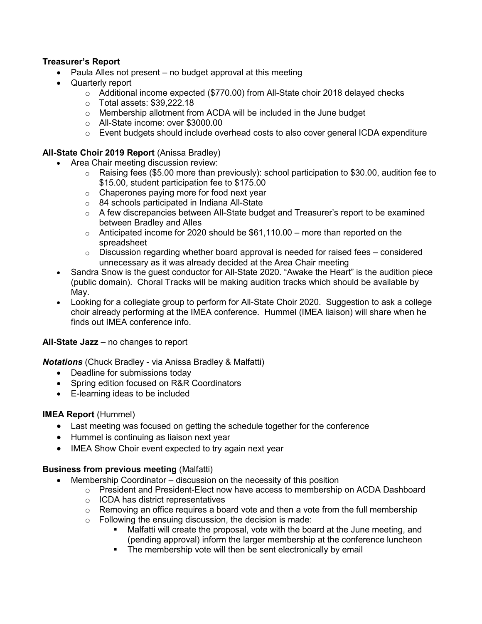### **Treasurer's Report**

- Paula Alles not present no budget approval at this meeting
- Quarterly report
	- $\circ$  Additional income expected (\$770.00) from All-State choir 2018 delayed checks
	- o Total assets: \$39,222.18
	- o Membership allotment from ACDA will be included in the June budget
	- o All-State income: over \$3000.00
	- $\circ$  Event budgets should include overhead costs to also cover general ICDA expenditure

### **All-State Choir 2019 Report** (Anissa Bradley)

- Area Chair meeting discussion review:
	- $\circ$  Raising fees (\$5.00 more than previously): school participation to \$30.00, audition fee to \$15.00, student participation fee to \$175.00
	- $\circ$  Chaperones paying more for food next year
	- o 84 schools participated in Indiana All-State
	- $\circ$  A few discrepancies between All-State budget and Treasurer's report to be examined between Bradley and Alles
	- $\circ$  Anticipated income for 2020 should be \$61,110.00 more than reported on the spreadsheet
	- $\circ$  Discussion regarding whether board approval is needed for raised fees considered unnecessary as it was already decided at the Area Chair meeting
- Sandra Snow is the guest conductor for All-State 2020. "Awake the Heart" is the audition piece (public domain). Choral Tracks will be making audition tracks which should be available by May.
- Looking for a collegiate group to perform for All-State Choir 2020. Suggestion to ask a college choir already performing at the IMEA conference. Hummel (IMEA liaison) will share when he finds out IMEA conference info.

#### **All-State Jazz** – no changes to report

*Notations* (Chuck Bradley - via Anissa Bradley & Malfatti)

- Deadline for submissions today
- Spring edition focused on R&R Coordinators
- E-learning ideas to be included

#### **IMEA Report** (Hummel)

- Last meeting was focused on getting the schedule together for the conference
- Hummel is continuing as liaison next year
- IMEA Show Choir event expected to try again next year

#### **Business from previous meeting** (Malfatti)

- Membership Coordinator discussion on the necessity of this position
	- o President and President-Elect now have access to membership on ACDA Dashboard
	- o ICDA has district representatives
	- $\circ$  Removing an office requires a board vote and then a vote from the full membership
	- $\circ$  Following the ensuing discussion, the decision is made:
		- Malfatti will create the proposal, vote with the board at the June meeting, and (pending approval) inform the larger membership at the conference luncheon
		- **•** The membership vote will then be sent electronically by email